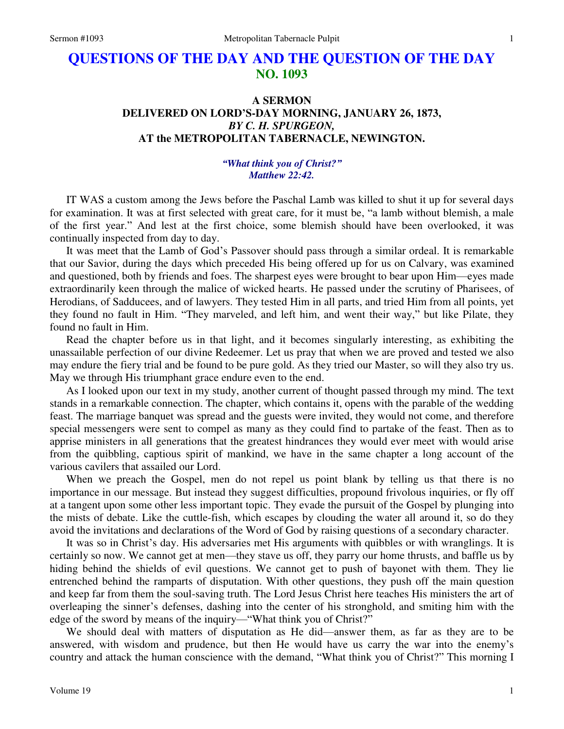# **QUESTIONS OF THE DAY AND THE QUESTION OF THE DAY NO. 1093**

## **A SERMON DELIVERED ON LORD'S-DAY MORNING, JANUARY 26, 1873,**  *BY C. H. SPURGEON,*  **AT the METROPOLITAN TABERNACLE, NEWINGTON.**

### *"What think you of Christ?" Matthew 22:42.*

IT WAS a custom among the Jews before the Paschal Lamb was killed to shut it up for several days for examination. It was at first selected with great care, for it must be, "a lamb without blemish, a male of the first year." And lest at the first choice, some blemish should have been overlooked, it was continually inspected from day to day.

It was meet that the Lamb of God's Passover should pass through a similar ordeal. It is remarkable that our Savior, during the days which preceded His being offered up for us on Calvary, was examined and questioned, both by friends and foes. The sharpest eyes were brought to bear upon Him—eyes made extraordinarily keen through the malice of wicked hearts. He passed under the scrutiny of Pharisees, of Herodians, of Sadducees, and of lawyers. They tested Him in all parts, and tried Him from all points, yet they found no fault in Him. "They marveled, and left him, and went their way," but like Pilate, they found no fault in Him.

Read the chapter before us in that light, and it becomes singularly interesting, as exhibiting the unassailable perfection of our divine Redeemer. Let us pray that when we are proved and tested we also may endure the fiery trial and be found to be pure gold. As they tried our Master, so will they also try us. May we through His triumphant grace endure even to the end.

As I looked upon our text in my study, another current of thought passed through my mind. The text stands in a remarkable connection. The chapter, which contains it, opens with the parable of the wedding feast. The marriage banquet was spread and the guests were invited, they would not come, and therefore special messengers were sent to compel as many as they could find to partake of the feast. Then as to apprise ministers in all generations that the greatest hindrances they would ever meet with would arise from the quibbling, captious spirit of mankind, we have in the same chapter a long account of the various cavilers that assailed our Lord.

When we preach the Gospel, men do not repel us point blank by telling us that there is no importance in our message. But instead they suggest difficulties, propound frivolous inquiries, or fly off at a tangent upon some other less important topic. They evade the pursuit of the Gospel by plunging into the mists of debate. Like the cuttle-fish, which escapes by clouding the water all around it, so do they avoid the invitations and declarations of the Word of God by raising questions of a secondary character.

It was so in Christ's day. His adversaries met His arguments with quibbles or with wranglings. It is certainly so now. We cannot get at men—they stave us off, they parry our home thrusts, and baffle us by hiding behind the shields of evil questions. We cannot get to push of bayonet with them. They lie entrenched behind the ramparts of disputation. With other questions, they push off the main question and keep far from them the soul-saving truth. The Lord Jesus Christ here teaches His ministers the art of overleaping the sinner's defenses, dashing into the center of his stronghold, and smiting him with the edge of the sword by means of the inquiry—"What think you of Christ?"

We should deal with matters of disputation as He did—answer them, as far as they are to be answered, with wisdom and prudence, but then He would have us carry the war into the enemy's country and attack the human conscience with the demand, "What think you of Christ?" This morning I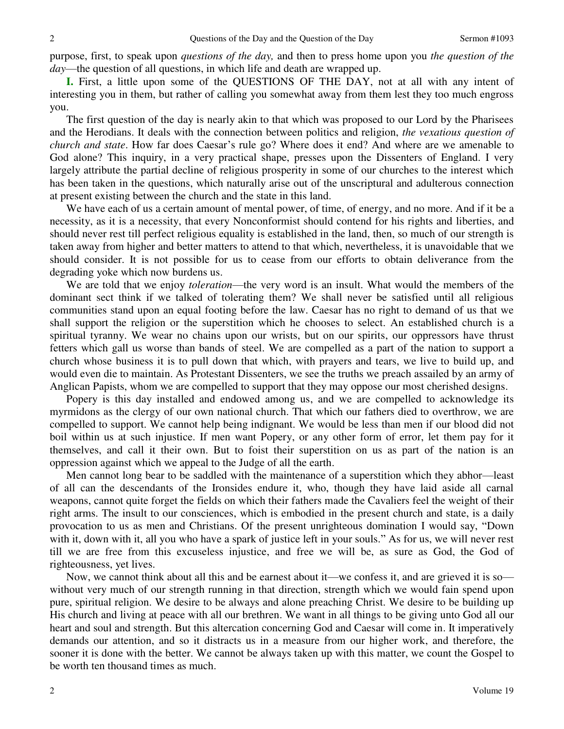purpose, first, to speak upon *questions of the day,* and then to press home upon you *the question of the day*—the question of all questions, in which life and death are wrapped up.

**I.** First, a little upon some of the QUESTIONS OF THE DAY, not at all with any intent of interesting you in them, but rather of calling you somewhat away from them lest they too much engross you.

The first question of the day is nearly akin to that which was proposed to our Lord by the Pharisees and the Herodians. It deals with the connection between politics and religion, *the vexatious question of church and state*. How far does Caesar's rule go? Where does it end? And where are we amenable to God alone? This inquiry, in a very practical shape, presses upon the Dissenters of England. I very largely attribute the partial decline of religious prosperity in some of our churches to the interest which has been taken in the questions, which naturally arise out of the unscriptural and adulterous connection at present existing between the church and the state in this land.

We have each of us a certain amount of mental power, of time, of energy, and no more. And if it be a necessity, as it is a necessity, that every Nonconformist should contend for his rights and liberties, and should never rest till perfect religious equality is established in the land, then, so much of our strength is taken away from higher and better matters to attend to that which, nevertheless, it is unavoidable that we should consider. It is not possible for us to cease from our efforts to obtain deliverance from the degrading yoke which now burdens us.

We are told that we enjoy *toleration*—the very word is an insult. What would the members of the dominant sect think if we talked of tolerating them? We shall never be satisfied until all religious communities stand upon an equal footing before the law. Caesar has no right to demand of us that we shall support the religion or the superstition which he chooses to select. An established church is a spiritual tyranny. We wear no chains upon our wrists, but on our spirits, our oppressors have thrust fetters which gall us worse than bands of steel. We are compelled as a part of the nation to support a church whose business it is to pull down that which, with prayers and tears, we live to build up, and would even die to maintain. As Protestant Dissenters, we see the truths we preach assailed by an army of Anglican Papists, whom we are compelled to support that they may oppose our most cherished designs.

Popery is this day installed and endowed among us, and we are compelled to acknowledge its myrmidons as the clergy of our own national church. That which our fathers died to overthrow, we are compelled to support. We cannot help being indignant. We would be less than men if our blood did not boil within us at such injustice. If men want Popery, or any other form of error, let them pay for it themselves, and call it their own. But to foist their superstition on us as part of the nation is an oppression against which we appeal to the Judge of all the earth.

Men cannot long bear to be saddled with the maintenance of a superstition which they abhor—least of all can the descendants of the Ironsides endure it, who, though they have laid aside all carnal weapons, cannot quite forget the fields on which their fathers made the Cavaliers feel the weight of their right arms. The insult to our consciences, which is embodied in the present church and state, is a daily provocation to us as men and Christians. Of the present unrighteous domination I would say, "Down with it, down with it, all you who have a spark of justice left in your souls." As for us, we will never rest till we are free from this excuseless injustice, and free we will be, as sure as God, the God of righteousness, yet lives.

Now, we cannot think about all this and be earnest about it—we confess it, and are grieved it is so without very much of our strength running in that direction, strength which we would fain spend upon pure, spiritual religion. We desire to be always and alone preaching Christ. We desire to be building up His church and living at peace with all our brethren. We want in all things to be giving unto God all our heart and soul and strength. But this altercation concerning God and Caesar will come in. It imperatively demands our attention, and so it distracts us in a measure from our higher work, and therefore, the sooner it is done with the better. We cannot be always taken up with this matter, we count the Gospel to be worth ten thousand times as much.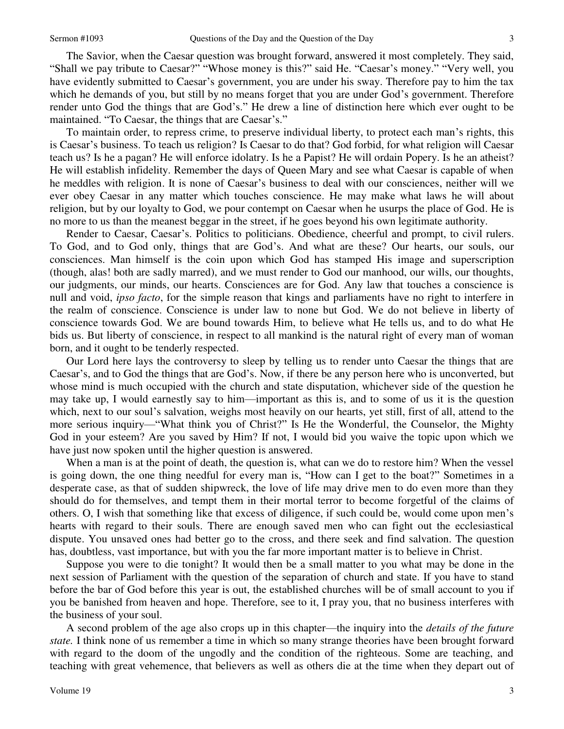The Savior, when the Caesar question was brought forward, answered it most completely. They said, "Shall we pay tribute to Caesar?" "Whose money is this?" said He. "Caesar's money." "Very well, you have evidently submitted to Caesar's government, you are under his sway. Therefore pay to him the tax which he demands of you, but still by no means forget that you are under God's government. Therefore render unto God the things that are God's." He drew a line of distinction here which ever ought to be maintained. "To Caesar, the things that are Caesar's."

To maintain order, to repress crime, to preserve individual liberty, to protect each man's rights, this is Caesar's business. To teach us religion? Is Caesar to do that? God forbid, for what religion will Caesar teach us? Is he a pagan? He will enforce idolatry. Is he a Papist? He will ordain Popery. Is he an atheist? He will establish infidelity. Remember the days of Queen Mary and see what Caesar is capable of when he meddles with religion. It is none of Caesar's business to deal with our consciences, neither will we ever obey Caesar in any matter which touches conscience. He may make what laws he will about religion, but by our loyalty to God, we pour contempt on Caesar when he usurps the place of God. He is no more to us than the meanest beggar in the street, if he goes beyond his own legitimate authority.

Render to Caesar, Caesar's. Politics to politicians. Obedience, cheerful and prompt, to civil rulers. To God, and to God only, things that are God's. And what are these? Our hearts, our souls, our consciences. Man himself is the coin upon which God has stamped His image and superscription (though, alas! both are sadly marred), and we must render to God our manhood, our wills, our thoughts, our judgments, our minds, our hearts. Consciences are for God. Any law that touches a conscience is null and void, *ipso facto*, for the simple reason that kings and parliaments have no right to interfere in the realm of conscience. Conscience is under law to none but God. We do not believe in liberty of conscience towards God. We are bound towards Him, to believe what He tells us, and to do what He bids us. But liberty of conscience, in respect to all mankind is the natural right of every man of woman born, and it ought to be tenderly respected.

Our Lord here lays the controversy to sleep by telling us to render unto Caesar the things that are Caesar's, and to God the things that are God's. Now, if there be any person here who is unconverted, but whose mind is much occupied with the church and state disputation, whichever side of the question he may take up, I would earnestly say to him—important as this is, and to some of us it is the question which, next to our soul's salvation, weighs most heavily on our hearts, yet still, first of all, attend to the more serious inquiry—"What think you of Christ?" Is He the Wonderful, the Counselor, the Mighty God in your esteem? Are you saved by Him? If not, I would bid you waive the topic upon which we have just now spoken until the higher question is answered.

When a man is at the point of death, the question is, what can we do to restore him? When the vessel is going down, the one thing needful for every man is, "How can I get to the boat?" Sometimes in a desperate case, as that of sudden shipwreck, the love of life may drive men to do even more than they should do for themselves, and tempt them in their mortal terror to become forgetful of the claims of others. O, I wish that something like that excess of diligence, if such could be, would come upon men's hearts with regard to their souls. There are enough saved men who can fight out the ecclesiastical dispute. You unsaved ones had better go to the cross, and there seek and find salvation. The question has, doubtless, vast importance, but with you the far more important matter is to believe in Christ.

Suppose you were to die tonight? It would then be a small matter to you what may be done in the next session of Parliament with the question of the separation of church and state. If you have to stand before the bar of God before this year is out, the established churches will be of small account to you if you be banished from heaven and hope. Therefore, see to it, I pray you, that no business interferes with the business of your soul.

A second problem of the age also crops up in this chapter—the inquiry into the *details of the future state.* I think none of us remember a time in which so many strange theories have been brought forward with regard to the doom of the ungodly and the condition of the righteous. Some are teaching, and teaching with great vehemence, that believers as well as others die at the time when they depart out of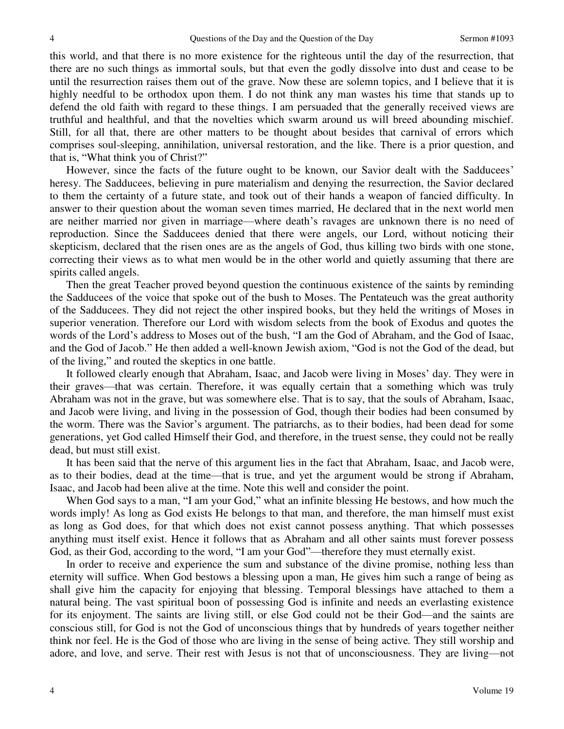this world, and that there is no more existence for the righteous until the day of the resurrection, that there are no such things as immortal souls, but that even the godly dissolve into dust and cease to be until the resurrection raises them out of the grave. Now these are solemn topics, and I believe that it is highly needful to be orthodox upon them. I do not think any man wastes his time that stands up to defend the old faith with regard to these things. I am persuaded that the generally received views are truthful and healthful, and that the novelties which swarm around us will breed abounding mischief. Still, for all that, there are other matters to be thought about besides that carnival of errors which comprises soul-sleeping, annihilation, universal restoration, and the like. There is a prior question, and that is, "What think you of Christ?"

However, since the facts of the future ought to be known, our Savior dealt with the Sadducees' heresy. The Sadducees, believing in pure materialism and denying the resurrection, the Savior declared to them the certainty of a future state, and took out of their hands a weapon of fancied difficulty. In answer to their question about the woman seven times married, He declared that in the next world men are neither married nor given in marriage—where death's ravages are unknown there is no need of reproduction. Since the Sadducees denied that there were angels, our Lord, without noticing their skepticism, declared that the risen ones are as the angels of God, thus killing two birds with one stone, correcting their views as to what men would be in the other world and quietly assuming that there are spirits called angels.

Then the great Teacher proved beyond question the continuous existence of the saints by reminding the Sadducees of the voice that spoke out of the bush to Moses. The Pentateuch was the great authority of the Sadducees. They did not reject the other inspired books, but they held the writings of Moses in superior veneration. Therefore our Lord with wisdom selects from the book of Exodus and quotes the words of the Lord's address to Moses out of the bush, "I am the God of Abraham, and the God of Isaac, and the God of Jacob." He then added a well-known Jewish axiom, "God is not the God of the dead, but of the living," and routed the skeptics in one battle.

It followed clearly enough that Abraham, Isaac, and Jacob were living in Moses' day. They were in their graves—that was certain. Therefore, it was equally certain that a something which was truly Abraham was not in the grave, but was somewhere else. That is to say, that the souls of Abraham, Isaac, and Jacob were living, and living in the possession of God, though their bodies had been consumed by the worm. There was the Savior's argument. The patriarchs, as to their bodies, had been dead for some generations, yet God called Himself their God, and therefore, in the truest sense, they could not be really dead, but must still exist.

It has been said that the nerve of this argument lies in the fact that Abraham, Isaac, and Jacob were, as to their bodies, dead at the time—that is true, and yet the argument would be strong if Abraham, Isaac, and Jacob had been alive at the time. Note this well and consider the point.

When God says to a man, "I am your God," what an infinite blessing He bestows, and how much the words imply! As long as God exists He belongs to that man, and therefore, the man himself must exist as long as God does, for that which does not exist cannot possess anything. That which possesses anything must itself exist. Hence it follows that as Abraham and all other saints must forever possess God, as their God, according to the word, "I am your God"—therefore they must eternally exist.

In order to receive and experience the sum and substance of the divine promise, nothing less than eternity will suffice. When God bestows a blessing upon a man, He gives him such a range of being as shall give him the capacity for enjoying that blessing. Temporal blessings have attached to them a natural being. The vast spiritual boon of possessing God is infinite and needs an everlasting existence for its enjoyment. The saints are living still, or else God could not be their God—and the saints are conscious still, for God is not the God of unconscious things that by hundreds of years together neither think nor feel. He is the God of those who are living in the sense of being active*.* They still worship and adore, and love, and serve. Their rest with Jesus is not that of unconsciousness. They are living—not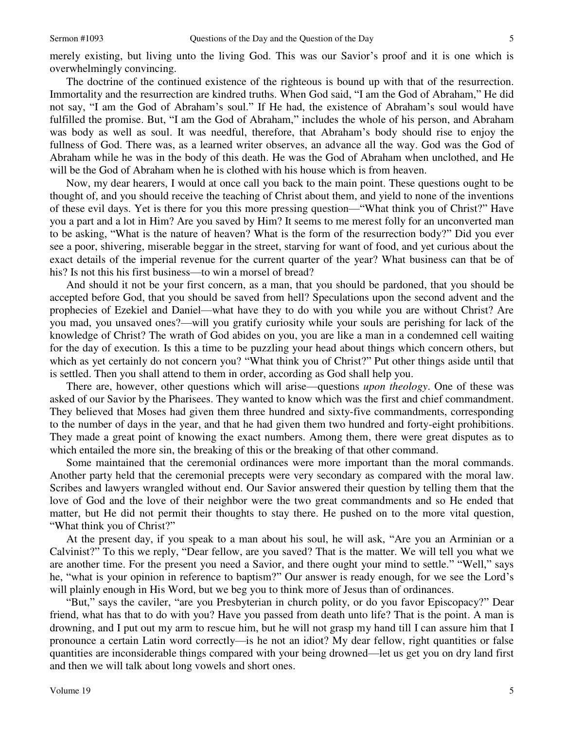merely existing, but living unto the living God. This was our Savior's proof and it is one which is overwhelmingly convincing.

The doctrine of the continued existence of the righteous is bound up with that of the resurrection. Immortality and the resurrection are kindred truths. When God said, "I am the God of Abraham," He did not say, "I am the God of Abraham's soul." If He had, the existence of Abraham's soul would have fulfilled the promise. But, "I am the God of Abraham," includes the whole of his person, and Abraham was body as well as soul. It was needful, therefore, that Abraham's body should rise to enjoy the fullness of God. There was, as a learned writer observes, an advance all the way. God was the God of Abraham while he was in the body of this death. He was the God of Abraham when unclothed, and He will be the God of Abraham when he is clothed with his house which is from heaven.

Now, my dear hearers, I would at once call you back to the main point. These questions ought to be thought of, and you should receive the teaching of Christ about them, and yield to none of the inventions of these evil days. Yet is there for you this more pressing question—"What think you of Christ?" Have you a part and a lot in Him? Are you saved by Him? It seems to me merest folly for an unconverted man to be asking, "What is the nature of heaven? What is the form of the resurrection body?" Did you ever see a poor, shivering, miserable beggar in the street, starving for want of food, and yet curious about the exact details of the imperial revenue for the current quarter of the year? What business can that be of his? Is not this his first business—to win a morsel of bread?

And should it not be your first concern, as a man, that you should be pardoned, that you should be accepted before God, that you should be saved from hell? Speculations upon the second advent and the prophecies of Ezekiel and Daniel—what have they to do with you while you are without Christ? Are you mad, you unsaved ones?—will you gratify curiosity while your souls are perishing for lack of the knowledge of Christ? The wrath of God abides on you, you are like a man in a condemned cell waiting for the day of execution. Is this a time to be puzzling your head about things which concern others, but which as yet certainly do not concern you? "What think you of Christ?" Put other things aside until that is settled. Then you shall attend to them in order, according as God shall help you.

There are, however, other questions which will arise—questions *upon theology*. One of these was asked of our Savior by the Pharisees. They wanted to know which was the first and chief commandment. They believed that Moses had given them three hundred and sixty-five commandments, corresponding to the number of days in the year, and that he had given them two hundred and forty-eight prohibitions. They made a great point of knowing the exact numbers. Among them, there were great disputes as to which entailed the more sin, the breaking of this or the breaking of that other command.

Some maintained that the ceremonial ordinances were more important than the moral commands. Another party held that the ceremonial precepts were very secondary as compared with the moral law. Scribes and lawyers wrangled without end. Our Savior answered their question by telling them that the love of God and the love of their neighbor were the two great commandments and so He ended that matter, but He did not permit their thoughts to stay there. He pushed on to the more vital question, "What think you of Christ?"

At the present day, if you speak to a man about his soul, he will ask, "Are you an Arminian or a Calvinist?" To this we reply, "Dear fellow, are you saved? That is the matter. We will tell you what we are another time. For the present you need a Savior, and there ought your mind to settle." "Well," says he, "what is your opinion in reference to baptism?" Our answer is ready enough, for we see the Lord's will plainly enough in His Word, but we beg you to think more of Jesus than of ordinances.

"But," says the caviler, "are you Presbyterian in church polity, or do you favor Episcopacy?" Dear friend, what has that to do with you? Have you passed from death unto life? That is the point. A man is drowning, and I put out my arm to rescue him, but he will not grasp my hand till I can assure him that I pronounce a certain Latin word correctly—is he not an idiot? My dear fellow, right quantities or false quantities are inconsiderable things compared with your being drowned—let us get you on dry land first and then we will talk about long vowels and short ones.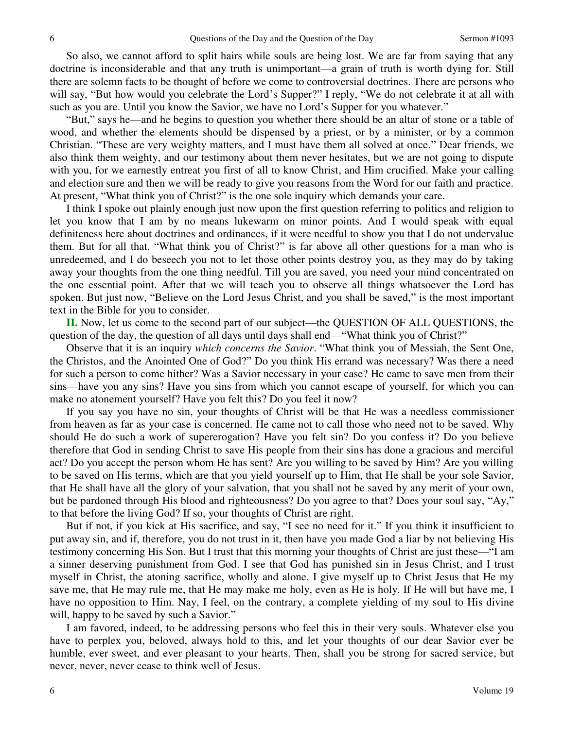So also, we cannot afford to split hairs while souls are being lost. We are far from saying that any doctrine is inconsiderable and that any truth is unimportant—a grain of truth is worth dying for. Still there are solemn facts to be thought of before we come to controversial doctrines. There are persons who will say, "But how would you celebrate the Lord's Supper?" I reply, "We do not celebrate it at all with such as you are. Until you know the Savior, we have no Lord's Supper for you whatever."

"But," says he—and he begins to question you whether there should be an altar of stone or a table of wood, and whether the elements should be dispensed by a priest, or by a minister, or by a common Christian. "These are very weighty matters, and I must have them all solved at once." Dear friends, we also think them weighty, and our testimony about them never hesitates, but we are not going to dispute with you, for we earnestly entreat you first of all to know Christ, and Him crucified. Make your calling and election sure and then we will be ready to give you reasons from the Word for our faith and practice. At present, "What think you of Christ?" is the one sole inquiry which demands your care.

I think I spoke out plainly enough just now upon the first question referring to politics and religion to let you know that I am by no means lukewarm on minor points. And I would speak with equal definiteness here about doctrines and ordinances, if it were needful to show you that I do not undervalue them. But for all that, "What think you of Christ?" is far above all other questions for a man who is unredeemed, and I do beseech you not to let those other points destroy you, as they may do by taking away your thoughts from the one thing needful. Till you are saved, you need your mind concentrated on the one essential point. After that we will teach you to observe all things whatsoever the Lord has spoken. But just now, "Believe on the Lord Jesus Christ, and you shall be saved," is the most important text in the Bible for you to consider.

**II.** Now, let us come to the second part of our subject—the QUESTION OF ALL QUESTIONS, the question of the day, the question of all days until days shall end—"What think you of Christ?"

Observe that it is an inquiry *which concerns the Savior*. "What think you of Messiah, the Sent One, the Christos, and the Anointed One of God?" Do you think His errand was necessary? Was there a need for such a person to come hither? Was a Savior necessary in your case? He came to save men from their sins—have you any sins? Have you sins from which you cannot escape of yourself, for which you can make no atonement yourself? Have you felt this? Do you feel it now?

If you say you have no sin, your thoughts of Christ will be that He was a needless commissioner from heaven as far as your case is concerned. He came not to call those who need not to be saved. Why should He do such a work of supererogation? Have you felt sin? Do you confess it? Do you believe therefore that God in sending Christ to save His people from their sins has done a gracious and merciful act? Do you accept the person whom He has sent? Are you willing to be saved by Him? Are you willing to be saved on His terms, which are that you yield yourself up to Him, that He shall be your sole Savior, that He shall have all the glory of your salvation, that you shall not be saved by any merit of your own, but be pardoned through His blood and righteousness? Do you agree to that? Does your soul say, "Ay," to that before the living God? If so, your thoughts of Christ are right.

But if not, if you kick at His sacrifice, and say, "I see no need for it." If you think it insufficient to put away sin, and if, therefore, you do not trust in it, then have you made God a liar by not believing His testimony concerning His Son. But I trust that this morning your thoughts of Christ are just these—"I am a sinner deserving punishment from God. I see that God has punished sin in Jesus Christ, and I trust myself in Christ, the atoning sacrifice, wholly and alone. I give myself up to Christ Jesus that He my save me, that He may rule me, that He may make me holy, even as He is holy. If He will but have me, I have no opposition to Him. Nay, I feel, on the contrary, a complete yielding of my soul to His divine will, happy to be saved by such a Savior."

I am favored, indeed, to be addressing persons who feel this in their very souls. Whatever else you have to perplex you, beloved, always hold to this, and let your thoughts of our dear Savior ever be humble, ever sweet, and ever pleasant to your hearts. Then, shall you be strong for sacred service, but never, never, never cease to think well of Jesus.

6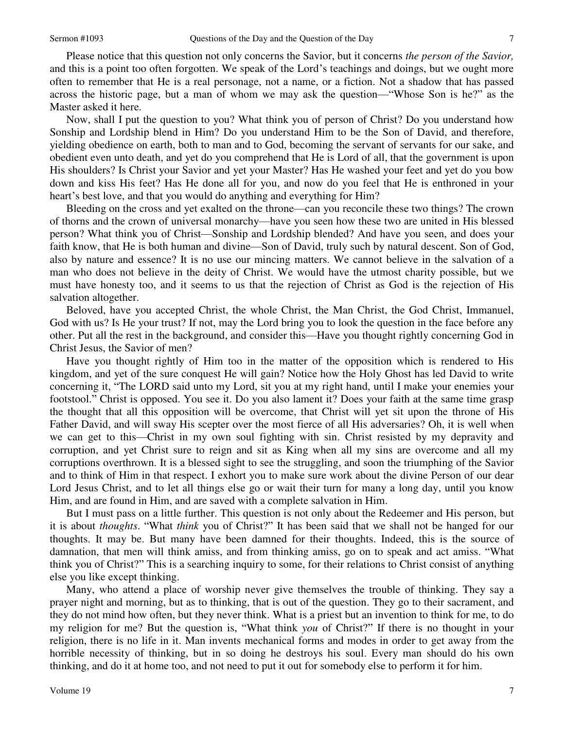Please notice that this question not only concerns the Savior, but it concerns *the person of the Savior,* and this is a point too often forgotten. We speak of the Lord's teachings and doings, but we ought more often to remember that He is a real personage, not a name, or a fiction. Not a shadow that has passed across the historic page, but a man of whom we may ask the question—"Whose Son is he?" as the Master asked it here.

Now, shall I put the question to you? What think you of person of Christ? Do you understand how Sonship and Lordship blend in Him? Do you understand Him to be the Son of David, and therefore, yielding obedience on earth, both to man and to God, becoming the servant of servants for our sake, and obedient even unto death, and yet do you comprehend that He is Lord of all, that the government is upon His shoulders? Is Christ your Savior and yet your Master? Has He washed your feet and yet do you bow down and kiss His feet? Has He done all for you, and now do you feel that He is enthroned in your heart's best love, and that you would do anything and everything for Him?

Bleeding on the cross and yet exalted on the throne—can you reconcile these two things? The crown of thorns and the crown of universal monarchy—have you seen how these two are united in His blessed person? What think you of Christ—Sonship and Lordship blended? And have you seen, and does your faith know, that He is both human and divine—Son of David, truly such by natural descent. Son of God, also by nature and essence? It is no use our mincing matters. We cannot believe in the salvation of a man who does not believe in the deity of Christ. We would have the utmost charity possible, but we must have honesty too, and it seems to us that the rejection of Christ as God is the rejection of His salvation altogether.

Beloved, have you accepted Christ, the whole Christ, the Man Christ, the God Christ, Immanuel, God with us? Is He your trust? If not, may the Lord bring you to look the question in the face before any other. Put all the rest in the background, and consider this—Have you thought rightly concerning God in Christ Jesus, the Savior of men?

Have you thought rightly of Him too in the matter of the opposition which is rendered to His kingdom, and yet of the sure conquest He will gain? Notice how the Holy Ghost has led David to write concerning it, "The LORD said unto my Lord, sit you at my right hand, until I make your enemies your footstool." Christ is opposed. You see it. Do you also lament it? Does your faith at the same time grasp the thought that all this opposition will be overcome, that Christ will yet sit upon the throne of His Father David, and will sway His scepter over the most fierce of all His adversaries? Oh, it is well when we can get to this—Christ in my own soul fighting with sin. Christ resisted by my depravity and corruption, and yet Christ sure to reign and sit as King when all my sins are overcome and all my corruptions overthrown. It is a blessed sight to see the struggling, and soon the triumphing of the Savior and to think of Him in that respect. I exhort you to make sure work about the divine Person of our dear Lord Jesus Christ, and to let all things else go or wait their turn for many a long day, until you know Him, and are found in Him, and are saved with a complete salvation in Him.

But I must pass on a little further. This question is not only about the Redeemer and His person, but it is about *thoughts*. "What *think* you of Christ?" It has been said that we shall not be hanged for our thoughts. It may be. But many have been damned for their thoughts. Indeed, this is the source of damnation, that men will think amiss, and from thinking amiss, go on to speak and act amiss. "What think you of Christ?" This is a searching inquiry to some, for their relations to Christ consist of anything else you like except thinking.

Many, who attend a place of worship never give themselves the trouble of thinking. They say a prayer night and morning, but as to thinking, that is out of the question. They go to their sacrament, and they do not mind how often, but they never think. What is a priest but an invention to think for me, to do my religion for me? But the question is, "What think *you* of Christ?" If there is no thought in your religion, there is no life in it. Man invents mechanical forms and modes in order to get away from the horrible necessity of thinking, but in so doing he destroys his soul. Every man should do his own thinking, and do it at home too, and not need to put it out for somebody else to perform it for him.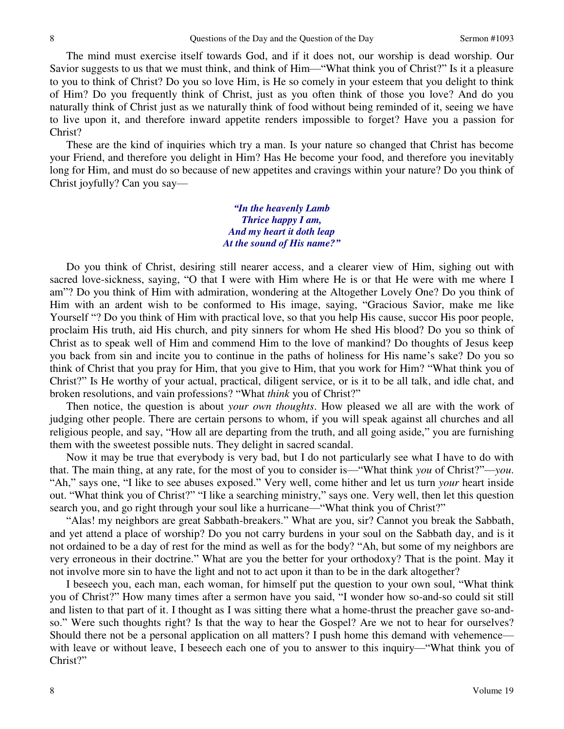The mind must exercise itself towards God, and if it does not, our worship is dead worship. Our Savior suggests to us that we must think, and think of Him—"What think you of Christ?" Is it a pleasure to you to think of Christ? Do you so love Him, is He so comely in your esteem that you delight to think of Him? Do you frequently think of Christ, just as you often think of those you love? And do you naturally think of Christ just as we naturally think of food without being reminded of it, seeing we have to live upon it, and therefore inward appetite renders impossible to forget? Have you a passion for Christ?

These are the kind of inquiries which try a man. Is your nature so changed that Christ has become your Friend, and therefore you delight in Him? Has He become your food, and therefore you inevitably long for Him, and must do so because of new appetites and cravings within your nature? Do you think of Christ joyfully? Can you say—

> *"In the heavenly Lamb Thrice happy I am, And my heart it doth leap At the sound of His name?"*

 Do you think of Christ, desiring still nearer access, and a clearer view of Him, sighing out with sacred love-sickness, saying, "O that I were with Him where He is or that He were with me where I am"? Do you think of Him with admiration, wondering at the Altogether Lovely One? Do you think of Him with an ardent wish to be conformed to His image, saying, "Gracious Savior, make me like Yourself "? Do you think of Him with practical love, so that you help His cause, succor His poor people, proclaim His truth, aid His church, and pity sinners for whom He shed His blood? Do you so think of Christ as to speak well of Him and commend Him to the love of mankind? Do thoughts of Jesus keep you back from sin and incite you to continue in the paths of holiness for His name's sake? Do you so think of Christ that you pray for Him, that you give to Him, that you work for Him? "What think you of Christ?" Is He worthy of your actual, practical, diligent service, or is it to be all talk, and idle chat, and broken resolutions, and vain professions? "What *think* you of Christ?"

Then notice, the question is about *your own thoughts*. How pleased we all are with the work of judging other people. There are certain persons to whom, if you will speak against all churches and all religious people, and say, "How all are departing from the truth, and all going aside," you are furnishing them with the sweetest possible nuts. They delight in sacred scandal.

Now it may be true that everybody is very bad, but I do not particularly see what I have to do with that. The main thing, at any rate, for the most of you to consider is—"What think *you* of Christ?"—*you*. "Ah," says one, "I like to see abuses exposed." Very well, come hither and let us turn *your* heart inside out. "What think you of Christ?" "I like a searching ministry," says one. Very well, then let this question search you, and go right through your soul like a hurricane—"What think you of Christ?"

"Alas! my neighbors are great Sabbath-breakers." What are you, sir? Cannot you break the Sabbath, and yet attend a place of worship? Do you not carry burdens in your soul on the Sabbath day, and is it not ordained to be a day of rest for the mind as well as for the body? "Ah, but some of my neighbors are very erroneous in their doctrine." What are you the better for your orthodoxy? That is the point. May it not involve more sin to have the light and not to act upon it than to be in the dark altogether?

I beseech you, each man, each woman, for himself put the question to your own soul, "What think you of Christ?" How many times after a sermon have you said, "I wonder how so-and-so could sit still and listen to that part of it. I thought as I was sitting there what a home-thrust the preacher gave so-andso." Were such thoughts right? Is that the way to hear the Gospel? Are we not to hear for ourselves? Should there not be a personal application on all matters? I push home this demand with vehemence with leave or without leave, I beseech each one of you to answer to this inquiry—"What think you of Christ?"